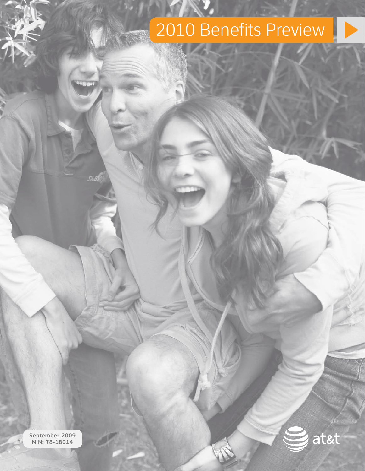# 2010 Benefits Preview



September 2009 NIN: 78-18014

54.88

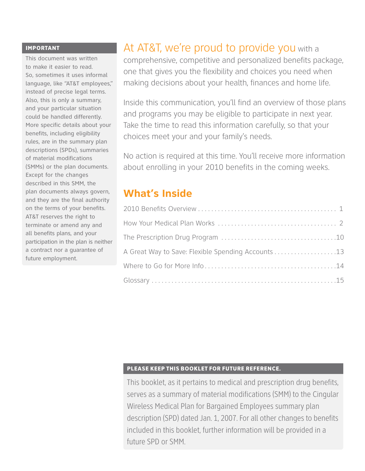#### IMPORTANT

This document was written to make it easier to read. So, sometimes it uses informal language, like "AT&T employees," instead of precise legal terms. Also, this is only a summary, and your particular situation could be handled differently. More specific details about your benefits, including eligibility rules, are in the summary plan descriptions (SPDs), summaries of material modifications (SMMs) or the plan documents. Except for the changes described in this SMM, the plan documents always govern, and they are the final authority on the terms of your benefits. AT&T reserves the right to terminate or amend any and all benefits plans, and your participation in the plan is neither a contract nor a guarantee of future employment.

# At AT&T, we're proud to provide you with a

comprehensive, competitive and personalized benefits package, one that gives you the flexibility and choices you need when making decisions about your health, finances and home life.

Inside this communication, you'll find an overview of those plans and programs you may be eligible to participate in next year. Take the time to read this information carefully, so that your choices meet your and your family's needs.

No action is required at this time. You'll receive more information about enrolling in your 2010 benefits in the coming weeks.

# **What's Inside**

| A Great Way to Save: Flexible Spending Accounts 13 |
|----------------------------------------------------|
|                                                    |
|                                                    |

#### Please keep this booklet for future reference.

This booklet, as it pertains to medical and prescription drug benefits, serves as a summary of material modifications (SMM) to the Cingular Wireless Medical Plan for Bargained Employees summary plan description (SPD) dated Jan. 1, 2007. For all other changes to benefits included in this booklet, further information will be provided in a future SPD or SMM.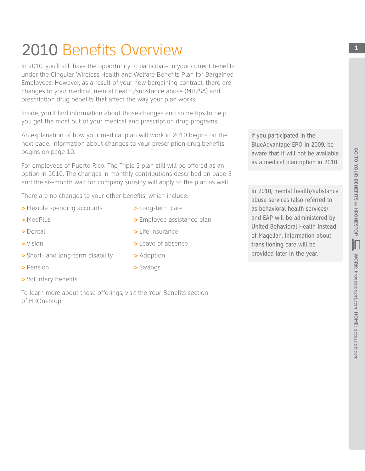# 2010 Benefits Overview

In 2010, you'll still have the opportunity to participate in your current benefits under the Cingular Wireless Health and Welfare Benefits Plan for Bargained Employees. However, as a result of your new bargaining contract, there are changes to your medical, mental health/substance abuse (MH/SA) and prescription drug benefits that affect the way your plan works.

Inside, you'll find information about those changes and some tips to help you get the most out of your medical and prescription drug programs.

An explanation of how your medical plan will work in 2010 begins on the next page. Information about changes to your prescription drug benefits begins on page 10.

For employees of Puerto Rico: The Triple S plan still will be offered as an option in 2010. The changes in monthly contributions described on page 3 and the six-month wait for company subsidy will apply to the plan as well.

> Long-term care

> Life insurance

> Adoption > Savings

> Leave of absence

> Employee assistance plan

There are no changes to your other benefits, which include:

- > Flexible spending accounts
- > MedPlus
- > Dental
- > Vision
- > Short- and long-term disability
- > Pension
- > Voluntary benefits

To learn more about these offerings, visit the Your Benefits section of HROneStop.

If you participated in the BlueAdvantage EPO in 2009, be aware that it will not be available as a medical plan option in 2010.

In 2010, mental health/substance abuse services (also referred to as behavioral health services) and EAP will be administered by United Behavioral Health instead of Magellan. Information about transitioning care will be provided later in the year.

**1**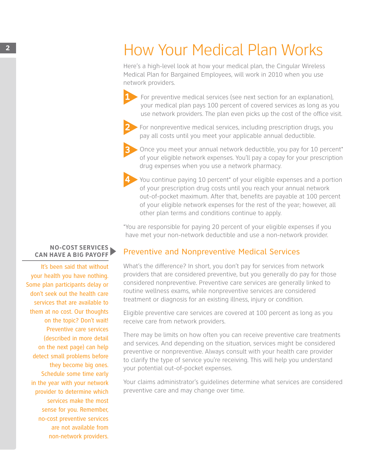# **2 How Your Medical Plan Works**

Here's a high-level look at how your medical plan, the Cingular Wireless Medical Plan for Bargained Employees, will work in 2010 when you use network providers.

**1** For preventive medical services (see next section for an explanation), your medical plan pays 100 percent of covered services as long as you use network providers. The plan even picks up the cost of the office visit.

**2** For nonpreventive medical services, including prescription drugs, you pay all costs until you meet your applicable annual deductible.

**3** Once you meet your annual network deductible, you pay for 10 percent\* of your eligible network expenses. You'll pay a copay for your prescription drug expenses when you use a network pharmacy.

**4** You continue paying 10 percent\* of your eligible expenses and a portion of your prescription drug costs until you reach your annual network out-of-pocket maximum. After that, benefits are payable at 100 percent of your eligible network expenses for the rest of the year; however, all other plan terms and conditions continue to apply.

\*You are responsible for paying 20 percent of your eligible expenses if you have met your non-network deductible and use a non-network provider.

## Preventive and Nonpreventive Medical Services

What's the difference? In short, you don't pay for services from network providers that are considered preventive, but you generally do pay for those considered nonpreventive. Preventive care services are generally linked to routine wellness exams, while nonpreventive services are considered treatment or diagnosis for an existing illness, injury or condition.

Eligible preventive care services are covered at 100 percent as long as you receive care from network providers.

There may be limits on how often you can receive preventive care treatments and services. And depending on the situation, services might be considered preventive or nonpreventive. Always consult with your health care provider to clarify the type of service you're receiving. This will help you understand your potential out-of-pocket expenses.

Your claims administrator's guidelines determine what services are considered preventive care and may change over time.

#### **NO-COST SERVICES CAN HAVE A BIG PAYOFF**

It's been said that without your health you have nothing. Some plan participants delay or don't seek out the health care services that are available to them at no cost. Our thoughts on the topic? Don't wait! Preventive care services (described in more detail on the next page) can help detect small problems before they become big ones. Schedule some time early in the year with your network provider to determine which services make the most sense for you. Remember, no-cost preventive services are not available from non-network providers.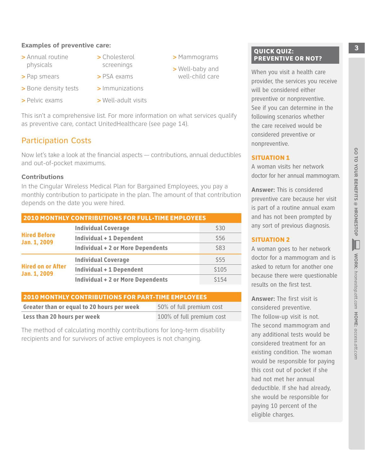#### **Examples of preventive care: 3 B Examples of preventive care: 3 B B EXAMPLE 2015**

- > Annual routine physicals
- > Cholesterol screenings

> Mammograms > Well-baby and well-child care

- > Pap smears
- > PSA exams
- > Bone density tests
- > Pelvic exams
- > Immunizations > Well-adult visits

This isn't a comprehensive list. For more information on what services qualify as preventive care, contact UnitedHealthcare (see page 14).

## Participation Costs

Now let's take a look at the financial aspects — contributions, annual deductibles and out-of-pocket maximums.

#### **Contributions**

In the Cingular Wireless Medical Plan for Bargained Employees, you pay a monthly contribution to participate in the plan. The amount of that contribution depends on the date you were hired.

| <b>2010 MONTHLY CONTRIBUTIONS FOR FULL-TIME EMPLOYEES</b> |                                          |       |
|-----------------------------------------------------------|------------------------------------------|-------|
|                                                           | <b>Individual Coverage</b>               | \$30  |
| <b>Hired Before</b><br>Jan. 1, 2009                       | <b>Individual + 1 Dependent</b>          | \$56  |
|                                                           | <b>Individual + 2 or More Dependents</b> | \$83  |
| <b>Hired on or After</b><br>Jan. 1, 2009                  | <b>Individual Coverage</b>               | \$55  |
|                                                           | <b>Individual + 1 Dependent</b>          | \$105 |
|                                                           | <b>Individual + 2 or More Dependents</b> | \$154 |

#### 2010 MONTHLY CONTRIBUTIONS FOR PART-TIME EMPLOYEES

| Greater than or equal to 20 hours per week | 50% of full premium cost  |
|--------------------------------------------|---------------------------|
| Less than 20 hours per week                | 100% of full premium cost |

The method of calculating monthly contributions for long-term disability recipients and for survivors of active employees is not changing.

#### **QUICK QUIZ:** PREVENTIVE OR NOT?

When you visit a health care provider, the services you receive will be considered either preventive or nonpreventive. See if you can determine in the following scenarios whether the care received would be considered preventive or nonpreventive.

#### SITUATION 1

A woman visits her network doctor for her annual mammogram.

**Answer:** This is considered preventive care because her visit is part of a routine annual exam and has not been prompted by any sort of previous diagnosis.

#### Situation 2

A woman goes to her network doctor for a mammogram and is asked to return for another one because there were questionable results on the first test.

**Answer:** The first visit is considered preventive. The follow-up visit is not. The second mammogram and any additional tests would be considered treatment for an existing condition. The woman would be responsible for paying this cost out of pocket if she had not met her annual deductible. If she had already, she would be responsible for paying 10 percent of the eligible charges.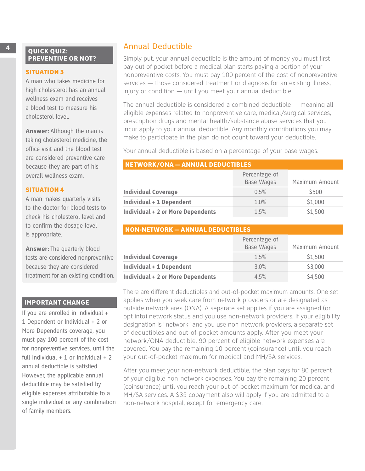#### **SITUATION 3**

A man who takes medicine for high cholesterol has an annual wellness exam and receives a blood test to measure his cholesterol level.

**Answer:** Although the man is taking cholesterol medicine, the office visit and the blood test are considered preventive care because they are part of his overall wellness exam.

#### **SITUATION 4**

A man makes quarterly visits to the doctor for blood tests to check his cholesterol level and to confirm the dosage level is appropriate.

**Answer:** The quarterly blood tests are considered nonpreventive because they are considered treatment for an existing condition.

#### IMPORTANT CHANGE

If you are enrolled in Individual + 1 Dependent or Individual + 2 or More Dependents coverage, you must pay 100 percent of the cost for nonpreventive services, until the full Individual  $+1$  or Individual  $+2$ annual deductible is satisfied. However, the applicable annual deductible may be satisfied by eligible expenses attributable to a single individual or any combination of family members.

### **4** Annual Deductible

Simply put, your annual deductible is the amount of money you must first pay out of pocket before a medical plan starts paying a portion of your nonpreventive costs. You must pay 100 percent of the cost of nonpreventive services — those considered treatment or diagnosis for an existing illness, injury or condition — until you meet your annual deductible.

The annual deductible is considered a combined deductible — meaning all eligible expenses related to nonpreventive care, medical/surgical services, prescription drugs and mental health/substance abuse services that you incur apply to your annual deductible. Any monthly contributions you may make to participate in the plan do not count toward your deductible.

Your annual deductible is based on a percentage of your base wages.

#### Network/ONA — Annual Deductibles

|                                          | Percentage of<br><b>Base Wages</b> | Maximum Amount |
|------------------------------------------|------------------------------------|----------------|
| <b>Individual Coverage</b>               | 0.5%                               | \$500          |
| <b>Individual + 1 Dependent</b>          | 1.0%                               | \$1,000        |
| <b>Individual + 2 or More Dependents</b> | 1.5%                               | \$1,500        |

| <b>NON-NETWORK - ANNUAL DEDUCTIBLES</b>  |                                    |                |  |
|------------------------------------------|------------------------------------|----------------|--|
|                                          | Percentage of<br><b>Base Wages</b> | Maximum Amount |  |
| <b>Individual Coverage</b>               | 1.5%                               | \$1,500        |  |
| <b>Individual + 1 Dependent</b>          | 3.0%                               | \$3,000        |  |
| <b>Individual + 2 or More Dependents</b> | 4.5%                               | \$4,500        |  |

There are different deductibles and out-of-pocket maximum amounts. One set applies when you seek care from network providers or are designated as outside network area (ONA). A separate set applies if you are assigned (or opt into) network status and you use non-network providers. If your eligibility designation is "network" and you use non-network providers, a separate set of deductibles and out-of-pocket amounts apply. After you meet your network/ONA deductible, 90 percent of eligible network expenses are covered. You pay the remaining 10 percent (coinsurance) until you reach your out-of-pocket maximum for medical and MH/SA services.

After you meet your non-network deductible, the plan pays for 80 percent of your eligible non-network expenses. You pay the remaining 20 percent (coinsurance) until you reach your out-of-pocket maximum for medical and MH/SA services. A \$35 copayment also will apply if you are admitted to a non-network hospital, except for emergency care.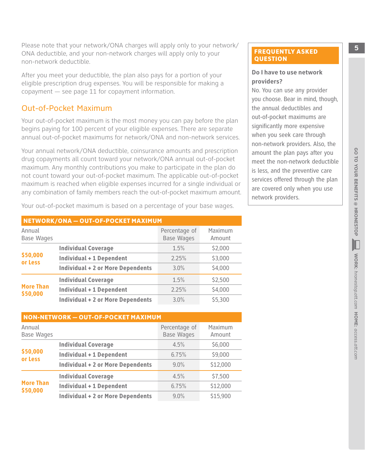**Please note that your network/ONA charges will apply only to your network/** ONA deductible, and your non-network charges will apply only to your non-network deductible.

After you meet your deductible, the plan also pays for a portion of your eligible prescription drug expenses. You will be responsible for making a copayment — see page 11 for copayment information.

### Out-of-Pocket Maximum

Your out-of-pocket maximum is the most money you can pay before the plan begins paying for 100 percent of your eligible expenses. There are separate annual out-of-pocket maximums for network/ONA and non-network services.

Your annual network/ONA deductible, coinsurance amounts and prescription drug copayments all count toward your network/ONA annual out-of-pocket maximum. Any monthly contributions you make to participate in the plan do not count toward your out-of-pocket maximum. The applicable out-of-pocket maximum is reached when eligible expenses incurred for a single individual or any combination of family members reach the out-of-pocket maximum amount.

Your out-of-pocket maximum is based on a percentage of your base wages.

| NETWORK/ONA - OUT-OF-POCKET MAXIMUM |                                          |                                    |                   |  |
|-------------------------------------|------------------------------------------|------------------------------------|-------------------|--|
| Annual<br><b>Base Wages</b>         |                                          | Percentage of<br><b>Base Wages</b> | Maximum<br>Amount |  |
|                                     | <b>Individual Coverage</b>               | 1.5%                               | \$2,000           |  |
| \$50,000<br>or Less                 | <b>Individual + 1 Dependent</b>          | 2.25%                              | \$3,000           |  |
|                                     | <b>Individual + 2 or More Dependents</b> | 3.0%                               | \$4,000           |  |
|                                     | <b>Individual Coverage</b>               | 1.5%                               | \$2,500           |  |
| <b>More Than</b><br>\$50,000        | <b>Individual + 1 Dependent</b>          | 2.25%                              | \$4,000           |  |
|                                     | <b>Individual + 2 or More Dependents</b> | 3.0%                               | \$5,300           |  |

| <b>NON-NETWORK - OUT-OF-POCKET MAXIMUM</b> |                                          |                                    |                   |  |
|--------------------------------------------|------------------------------------------|------------------------------------|-------------------|--|
| Annual<br><b>Base Wages</b>                |                                          | Percentage of<br><b>Base Wages</b> | Maximum<br>Amount |  |
|                                            | <b>Individual Coverage</b>               | 4.5%                               | \$6,000           |  |
| \$50,000<br>or Less                        | <b>Individual + 1 Dependent</b>          | 6.75%                              | \$9,000           |  |
|                                            | <b>Individual + 2 or More Dependents</b> | 9.0%                               | \$12,000          |  |
| <b>More Than</b><br>\$50,000               | <b>Individual Coverage</b>               | 4.5%                               | \$7,500           |  |
|                                            | <b>Individual + 1 Dependent</b>          | 6.75%                              | \$12,000          |  |
|                                            | <b>Individual + 2 or More Dependents</b> | $9.0\%$                            | \$15,900          |  |

#### FREQUENTLY ASKED **QUESTION**

#### **Do I have to use network providers?**

No. You can use any provider you choose. Bear in mind, though, the annual deductibles and out-of-pocket maximums are significantly more expensive when you seek care through non-network providers. Also, the amount the plan pays after you meet the non-network deductible is less, and the preventive care services offered through the plan are covered only when you use network providers.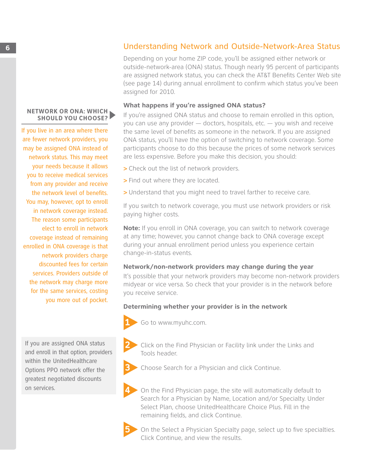#### **NETWORK OR ONA: WHICH SHOULD YOU CHOOSE?**

If you live in an area where there are fewer network providers, you may be assigned ONA instead of network status. This may meet your needs because it allows you to receive medical services from any provider and receive the network level of benefits. You may, however, opt to enroll in network coverage instead. The reason some participants elect to enroll in network coverage instead of remaining enrolled in ONA coverage is that network providers charge discounted fees for certain services. Providers outside of the network may charge more for the same services, costing you more out of pocket.

If you are assigned ONA status and enroll in that option, providers within the UnitedHealthcare Options PPO network offer the greatest negotiated discounts on services.

# **6** Understanding Network and Outside-Network-Area Status

Depending on your home ZIP code, you'll be assigned either network or outside-network-area (ONA) status. Though nearly 95 percent of participants are assigned network status, you can check the AT&T Benefits Center Web site (see page 14) during annual enrollment to confirm which status you've been assigned for 2010.

#### **What happens if you're assigned ONA status?**

If you're assigned ONA status and choose to remain enrolled in this option, you can use any provider — doctors, hospitals, etc. — you wish and receive the same level of benefits as someone in the network. If you are assigned ONA status, you'll have the option of switching to network coverage. Some participants choose to do this because the prices of some network services are less expensive. Before you make this decision, you should:

- > Check out the list of network providers.
- > Find out where they are located.
- > Understand that you might need to travel farther to receive care.

If you switch to network coverage, you must use network providers or risk paying higher costs.

**Note:** If you enroll in ONA coverage, you can switch to network coverage at any time; however, you cannot change back to ONA coverage except during your annual enrollment period unless you experience certain change-in-status events.

#### **Network/non-network providers may change during the year**

It's possible that your network providers may become non-network providers midyear or vice versa. So check that your provider is in the network before you receive service.

#### **Determining whether your provider is in the network**



**1** Go to www.myuhc.com.

- **2** Click on the Find Physician or Facility link under the Links and Tools header.
- **3** Choose Search for a Physician and click Continue.

**4** On the Find Physician page, the site will automatically default to Search for a Physician by Name, Location and/or Specialty. Under Select Plan, choose UnitedHealthcare Choice Plus. Fill in the remaining fields, and click Continue.



**5** On the Select a Physician Specialty page, select up to five specialties. Click Continue, and view the results.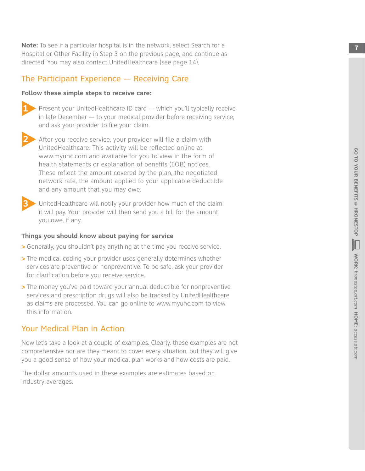**Note:** To see if a particular hospital is in the network, select Search for a Hospital or Other Facility in Step 3 on the previous page, and continue as directed . You may also contact UnitedHealthcare (see page 14) .

### The Participant Experience — Receiving Care

#### **Follow these simple steps to receive care:**



**1** Present your UnitedHealthcare ID card — which you'll typically receive in late December — to your medical provider before receiving service, and ask your provider to file your claim .



**2** After you receive service, your provider will file a claim with UnitedHealthcare . This activity will be reflected online at www .myuhc .com and available for you to view in the form of health statements or explanation of benefits (EOB) notices . These reflect the amount covered by the plan, the negotiated network rate, the amount applied to your applicable deductible and any amount that you may owe .



**3** UnitedHealthcare will notify your provider how much of the claim it will pay . Your provider will then send you a bill for the amount you owe, if any .

#### **Things you should know about paying for service**

- > Generally, you shouldn't pay anything at the time you receive service .
- > The medical coding your provider uses generally determines whether services are preventive or nonpreventive . To be safe, ask your provider for clarification before you receive service .
- > The money you've paid toward your annual deductible for nonpreventive services and prescription drugs will also be tracked by UnitedHealthcare as claims are processed . You can go online to www .myuhc .com to view this information .

### Your Medical Plan in Action

Now let's take a look at a couple of examples . Clearly, these examples are not comprehensive nor are they meant to cover every situation, but they will give you a good sense of how your medical plan works and how costs are paid .

The dollar amounts used in these examples are estimates based on industry averages .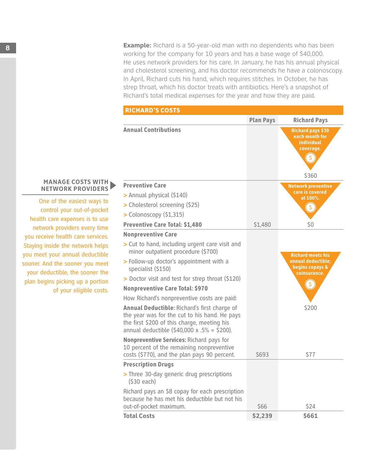**8 Example:** Richard is a 50-year-old man with no dependents who has been working for the company for 10 years and has a base wage of \$40,000. He uses network providers for his care. In January, he has his annual physical and cholesterol screening, and his doctor recommends he have a colonoscopy. In April, Richard cuts his hand, which requires stitches. In October, he has strep throat, which his doctor treats with antibiotics. Here's a snapshot of Richard's total medical expenses for the year and how they are paid.

| <b>RICHARD'S COSTS</b>                                                                                                                                                                      |                  |                                                                              |
|---------------------------------------------------------------------------------------------------------------------------------------------------------------------------------------------|------------------|------------------------------------------------------------------------------|
|                                                                                                                                                                                             | <b>Plan Pays</b> | <b>Richard Pays</b>                                                          |
| <b>Annual Contributions</b>                                                                                                                                                                 |                  | <b>Richard pays \$30</b><br>each month for<br><b>individual</b><br>coverage. |
| <b>Preventive Care</b>                                                                                                                                                                      |                  | \$360                                                                        |
|                                                                                                                                                                                             |                  | <b>Network preventive</b><br>care is covered                                 |
| > Annual physical (\$140)                                                                                                                                                                   |                  | at 100%.                                                                     |
| > Cholesterol screening (\$25)                                                                                                                                                              |                  |                                                                              |
| > Colonoscopy (\$1,315)                                                                                                                                                                     |                  |                                                                              |
| <b>Preventive Care Total: \$1,480</b>                                                                                                                                                       | \$1,480          | \$0                                                                          |
| <b>Nonpreventive Care</b>                                                                                                                                                                   |                  |                                                                              |
| > Cut to hand, including urgent care visit and<br>minor outpatient procedure (\$700)                                                                                                        |                  | <b>Richard meets his</b>                                                     |
| > Follow-up doctor's appointment with a<br>specialist (\$150)                                                                                                                               |                  | annual deductible;<br>begins copays &<br>coinsurance.                        |
| > Doctor visit and test for strep throat (\$120)                                                                                                                                            |                  |                                                                              |
| <b>Nonpreventive Care Total: \$970</b>                                                                                                                                                      |                  |                                                                              |
| How Richard's nonpreventive costs are paid:                                                                                                                                                 |                  |                                                                              |
| Annual Deductible: Richard's first charge of<br>the year was for the cut to his hand. He pays<br>the first \$200 of this charge, meeting his<br>annual deductible (\$40,000 x .5% = \$200). |                  | \$200                                                                        |
| Nonpreventive Services: Richard pays for<br>10 percent of the remaining nonpreventive<br>costs (\$770), and the plan pays 90 percent.                                                       | \$693            | \$77                                                                         |
| <b>Prescription Drugs</b>                                                                                                                                                                   |                  |                                                                              |
| > Three 30-day generic drug prescriptions<br>(530 each)                                                                                                                                     |                  |                                                                              |
| Richard pays an \$8 copay for each prescription<br>because he has met his deductible but not his<br>out-of-pocket maximum.                                                                  | \$66             | \$24                                                                         |
| <b>Total Costs</b>                                                                                                                                                                          | \$2,239          | \$661                                                                        |

#### **MANAGE COSTS WITH NETWORK PROVIDERS**

One of the easiest ways to control your out-of-pocket health care expenses is to use network providers every time you receive health care services. Staying inside the network helps you meet your annual deductible sooner. And the sooner you meet your deductible, the sooner the plan begins picking up a portion of your eligible costs.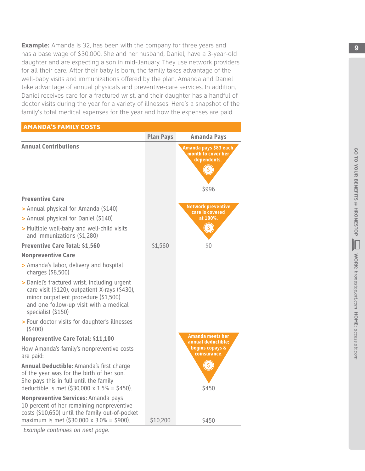**Example:** Amanda is 32, has been with the company for three years and has a base wage of \$30,000 . She and her husband, Daniel, have a 3-year-old daughter and are expecting a son in mid-January . They use network providers for all their care. After their baby is born, the family takes advantage of the well-baby visits and immunizations offered by the plan . Amanda and Daniel take advantage of annual physicals and preventive-care services . In addition, Daniel receives care for a fractured wrist, and their daughter has a handful of doctor visits during the year for a variety of illnesses . Here's a snapshot of the family's total medical expenses for the year and how the expenses are paid .

| <b>AMANDA'S FAMILY COSTS</b>                                                                                                                                                                           |                  |                                                                     |
|--------------------------------------------------------------------------------------------------------------------------------------------------------------------------------------------------------|------------------|---------------------------------------------------------------------|
|                                                                                                                                                                                                        | <b>Plan Pays</b> | <b>Amanda Pays</b>                                                  |
| <b>Annual Contributions</b>                                                                                                                                                                            |                  | Amanda pays \$83 each<br>month to cover her<br>dependents.<br>\$996 |
| <b>Preventive Care</b>                                                                                                                                                                                 |                  |                                                                     |
| > Annual physical for Amanda (\$140)                                                                                                                                                                   |                  | <b>Network preventive</b><br>care is covered                        |
| > Annual physical for Daniel (\$140)                                                                                                                                                                   |                  | at 100%.                                                            |
| > Multiple well-baby and well-child visits<br>and immunizations (\$1,280)                                                                                                                              |                  |                                                                     |
| <b>Preventive Care Total: \$1,560</b>                                                                                                                                                                  | \$1,560          | \$0                                                                 |
| <b>Nonpreventive Care</b>                                                                                                                                                                              |                  |                                                                     |
| > Amanda's labor, delivery and hospital<br>charges (\$8,500)                                                                                                                                           |                  |                                                                     |
| > Daniel's fractured wrist, including urgent<br>care visit (\$120), outpatient X-rays (\$430),<br>minor outpatient procedure (\$1,500)<br>and one follow-up visit with a medical<br>specialist (\$150) |                  |                                                                     |
| > Four doctor visits for daughter's illnesses<br>(5400)                                                                                                                                                |                  |                                                                     |
| <b>Nonpreventive Care Total: \$11,100</b>                                                                                                                                                              |                  | Amanda meets her<br>annual deductible;                              |
| How Amanda's family's nonpreventive costs<br>are paid:                                                                                                                                                 |                  | begins copays &<br>coinsurance.                                     |
| Annual Deductible: Amanda's first charge<br>of the year was for the birth of her son.<br>She pays this in full until the family<br>deductible is met $($30,000 \times 1.5\% = $450).$                  |                  | $\zeta$<br>\$450                                                    |
| Nonpreventive Services: Amanda pays<br>10 percent of her remaining nonpreventive<br>costs (\$10,650) until the family out-of-pocket<br>maximum is met (\$30,000 x 3.0% = \$900).                       | \$10,200         | \$450                                                               |
|                                                                                                                                                                                                        |                  |                                                                     |

 *c* **access through a sexure of the sexure of**  $\blacksquare$  **we see the second set of the second second sexure of**  $\blacksquare$  **we see the second second second second second second second second second second second second second second** GO TO YOUR BENEFITS @ HRONESTOP GO TO YOUR BENEFITS @ HRONESTOP WORK:  $\blacksquare$ WORK: hronestop.att.com HOME: access.att.com *hronestop.att.com* **HOME:**

*Example continues on next page.*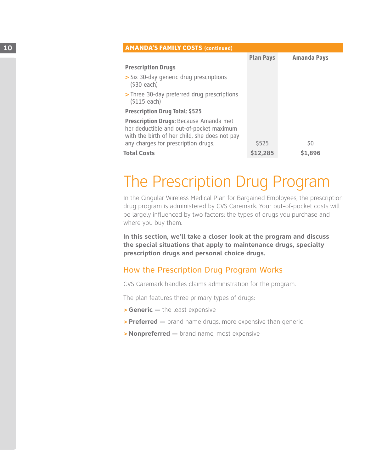| 10 | <b>AMANDA'S FAMILY COSTS (continued)</b>                                                                                            |                  |                    |
|----|-------------------------------------------------------------------------------------------------------------------------------------|------------------|--------------------|
|    |                                                                                                                                     | <b>Plan Pays</b> | <b>Amanda Pays</b> |
|    | <b>Prescription Drugs</b>                                                                                                           |                  |                    |
|    | > Six 30-day generic drug prescriptions<br>$(530$ each)                                                                             |                  |                    |
|    | > Three 30-day preferred drug prescriptions<br>(S115 each)                                                                          |                  |                    |
|    | <b>Prescription Drug Total: \$525</b>                                                                                               |                  |                    |
|    | Prescription Drugs: Because Amanda met<br>her deductible and out-of-pocket maximum<br>with the birth of her child, she does not pay |                  |                    |
|    | any charges for prescription drugs.                                                                                                 | \$525            | \$0                |
|    | <b>Total Costs</b>                                                                                                                  | \$12,285         | \$1,896            |

# The Prescription Drug Program

In the Cingular Wireless Medical Plan for Bargained Employees, the prescription drug program is administered by CVS Caremark. Your out-of-pocket costs will be largely influenced by two factors: the types of drugs you purchase and where you buy them.

**In this section, we'll take a closer look at the program and discuss the special situations that apply to maintenance drugs, specialty prescription drugs and personal choice drugs.**

### How the Prescription Drug Program Works

CVS Caremark handles claims administration for the program.

The plan features three primary types of drugs:

- > **Generic —** the least expensive
- > **Preferred —** brand name drugs, more expensive than generic
- > **Nonpreferred —** brand name, most expensive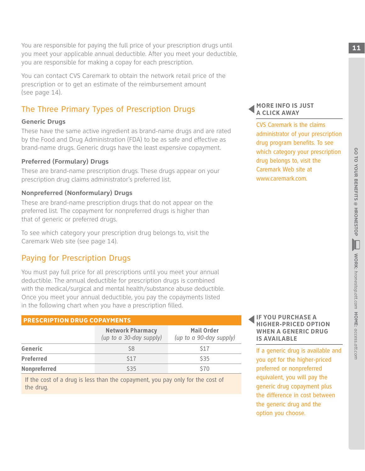You are responsible for paying the full price of your prescription drugs until **11** THE **11** THE **11** THE **11** THE **11** THE **11** THE **11** THE **11** THE **11** THE **11** THE **11** THE **11** THE **11** THE **11** THE **11** THE **11** THE you meet your applicable annual deductible. After you meet your deductible, you are responsible for making a copay for each prescription.

You can contact CVS Caremark to obtain the network retail price of the prescription or to get an estimate of the reimbursement amount (see page 14).

# The Three Primary Types of Prescription Drugs

#### **Generic Drugs**

These have the same active ingredient as brand-name drugs and are rated by the Food and Drug Administration (FDA) to be as safe and effective as brand-name drugs. Generic drugs have the least expensive copayment.

#### **Preferred (Formulary) Drugs**

These are brand-name prescription drugs. These drugs appear on your prescription drug claims administrator's preferred list.

#### **Nonpreferred (Nonformulary) Drugs**

These are brand-name prescription drugs that do not appear on the preferred list. The copayment for nonpreferred drugs is higher than that of generic or preferred drugs.

To see which category your prescription drug belongs to, visit the Caremark Web site (see page 14).

## Paying for Prescription Drugs

You must pay full price for all prescriptions until you meet your annual deductible. The annual deductible for prescription drugs is combined with the medical/surgical and mental health/substance abuse deductible. Once you meet your annual deductible, you pay the copayments listed in the following chart when you have a prescription filled.

#### Prescription Drug Copayments

|                     | <b>Network Pharmacy</b><br>(up to a 30-day supply) | <b>Mail Order</b><br>(up to a 90-day supply) |
|---------------------|----------------------------------------------------|----------------------------------------------|
| Generic             | S8                                                 | <b>S17</b>                                   |
| <b>Preferred</b>    | <b>S17</b>                                         | <b>\$35</b>                                  |
| <b>Nonpreferred</b> | <b>\$35</b>                                        | \$70                                         |

If the cost of a drug is less than the copayment, you pay only for the cost of the drug.

#### **MORE INFO IS JUST A CLICK AWAY**

CVS Caremark is the claims administrator of your prescription drug program benefits. To see which category your prescription drug belongs to, visit the Caremark Web site at www.caremark.com.

#### **IF YOU PURCHASE A HIGHER-PRICED OPTION WHEN A GENERIC DRUG IS AVAILABLE**

If a generic drug is available and you opt for the higher-priced preferred or nonpreferred equivalent, you will pay the generic drug copayment plus the difference in cost between the generic drug and the option you choose.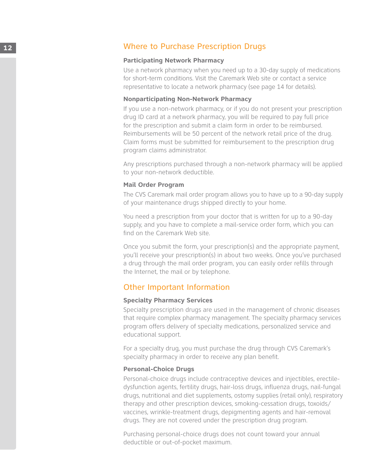### **12** Where to Purchase Prescription Drugs

#### **Participating Network Pharmacy**

Use a network pharmacy when you need up to a 30-day supply of medications for short-term conditions. Visit the Caremark Web site or contact a service representative to locate a network pharmacy (see page 14 for details).

#### **Nonparticipating Non-Network Pharmacy**

If you use a non-network pharmacy, or if you do not present your prescription drug ID card at a network pharmacy, you will be required to pay full price for the prescription and submit a claim form in order to be reimbursed. Reimbursements will be 50 percent of the network retail price of the drug. Claim forms must be submitted for reimbursement to the prescription drug program claims administrator.

Any prescriptions purchased through a non-network pharmacy will be applied to your non-network deductible.

#### **Mail Order Program**

The CVS Caremark mail order program allows you to have up to a 90-day supply of your maintenance drugs shipped directly to your home.

You need a prescription from your doctor that is written for up to a 90-day supply, and you have to complete a mail-service order form, which you can find on the Caremark Web site.

Once you submit the form, your prescription(s) and the appropriate payment, you'll receive your prescription(s) in about two weeks. Once you've purchased a drug through the mail order program, you can easily order refills through the Internet, the mail or by telephone.

#### Other Important Information

#### **Specialty Pharmacy Services**

Specialty prescription drugs are used in the management of chronic diseases that require complex pharmacy management. The specialty pharmacy services program offers delivery of specialty medications, personalized service and educational support.

For a specialty drug, you must purchase the drug through CVS Caremark's specialty pharmacy in order to receive any plan benefit.

#### **Personal-Choice Drugs**

Personal-choice drugs include contraceptive devices and injectibles, erectiledysfunction agents, fertility drugs, hair-loss drugs, influenza drugs, nail-fungal drugs, nutritional and diet supplements, ostomy supplies (retail only), respiratory therapy and other prescription devices, smoking-cessation drugs, toxoids/ vaccines, wrinkle-treatment drugs, depigmenting agents and hair-removal drugs. They are not covered under the prescription drug program.

Purchasing personal-choice drugs does not count toward your annual deductible or out-of-pocket maximum.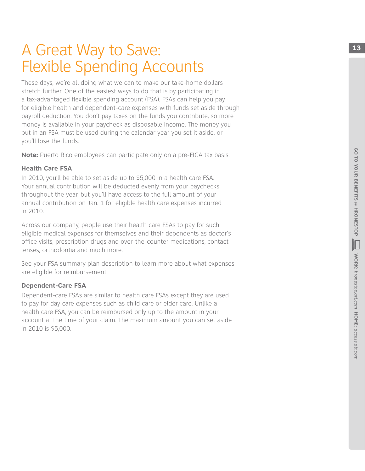# A Great Way to Save: **13** Flexible Spending Accounts

These days, we're all doing what we can to make our take-home dollars stretch further. One of the easiest ways to do that is by participating in a tax-advantaged flexible spending account (FSA) . FSAs can help you pay for eligible health and dependent-care expenses with funds set aside through payroll deduction . You don't pay taxes on the funds you contribute, so more money is available in your paycheck as disposable income . The money you put in an FSA must be used during the calendar year you set it aside, or you'll lose the funds .

**Note:** Puerto Rico employees can participate only on a pre-FICA tax basis. .

#### **Health Care FSA**

In 2010, you'll be able to set aside up to \$5,000 in a health care FSA . Your annual contribution will be deducted evenly from your paychecks throughout the year, but you'll have access to the full amount of your annual contribution on Jan . 1 for eligible health care expenses incurred in 2010 .

Across our company, people use their health care FSAs to pay for such eligible medical expenses for themselves and their dependents as doctor's office visits, prescription drugs and over-the-counter medications, contact lenses, orthodontia and much more .

See your FSA summary plan description to learn more about what expenses are eligible for reimbursement .

#### **Dependent-Care FS A**

Dependent-care FSAs are similar to health care FSAs except they are used to pay for day care expenses such as child care or elder care . Unlike a health care FSA, you can be reimbursed only up to the amount in your account at the time of your claim . The maximum amount you can set aside in 2010 is \$5,000 .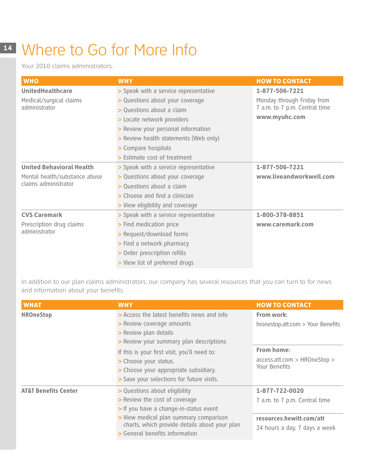# **<sup>14</sup>** Where to Go for More Info

Your 2010 claims administrators.

| <b>WHO</b>                      | <b>WHY</b>                            | <b>HOW TO CONTACT</b>         |
|---------------------------------|---------------------------------------|-------------------------------|
| <b>UnitedHealthcare</b>         | > Speak with a service representative | 1-877-506-7221                |
| Medical/surgical claims         | > Questions about your coverage       | Monday through Friday from    |
| administrator                   | > Questions about a claim             | 7 a.m. to 7 p.m. Central time |
|                                 | > Locate network providers            | www.myuhc.com                 |
|                                 | > Review your personal information    |                               |
|                                 | > Review health statements (Web only) |                               |
|                                 | > Compare hospitals                   |                               |
|                                 | > Estimate cost of treatment          |                               |
| <b>United Behavioral Health</b> | > Speak with a service representative | 1-877-506-7221                |
| Mental health/substance abuse   | > Questions about your coverage       | www.liveandworkwell.com       |
| claims administrator            | > Questions about a claim             |                               |
|                                 | > Choose and find a clinician         |                               |
|                                 | > View eligibility and coverage       |                               |
| <b>CVS Caremark</b>             | > Speak with a service representative | 1-800-378-8851                |
| Prescription drug claims        | > Find medication price               | www.caremark.com              |
| administrator                   | > Request/download forms              |                               |
|                                 | > Find a network pharmacy             |                               |
|                                 | > Order prescription refills          |                               |
|                                 | > View list of preferred drugs        |                               |

In addition to our plan claims administrators, our company has several resources that you can turn to for news and information about your benefits.

| <b>WHAT</b>                     | <b>WHY</b>                                                                                                                                                                                                                                                                                                 | <b>HOW TO CONTACT</b>                                                                                          |
|---------------------------------|------------------------------------------------------------------------------------------------------------------------------------------------------------------------------------------------------------------------------------------------------------------------------------------------------------|----------------------------------------------------------------------------------------------------------------|
| <b>HROneStop</b>                | > Access the latest benefits news and info<br>> Review coverage amounts<br>> Review plan details<br>> Review your summary plan descriptions<br>If this is your first visit, you'll need to:<br>> Choose your status.<br>> Choose your appropriate subsidiary.<br>> Save your selections for future visits. | From work:<br>hronestop.att.com > Your Benefits<br>From home:<br>access.att.com > HROneStop ><br>Your Benefits |
| <b>AT&amp;T Benefits Center</b> | > Questions about eligibility<br>> Review the cost of coverage<br>> If you have a change-in-status event<br>> View medical plan summary comparison<br>charts, which provide details about your plan<br>> General benefits information                                                                      | 1-877-722-0020<br>7 a.m. to 7 p.m. Central time<br>resources.hewitt.com/att<br>24 hours a day, 7 days a week   |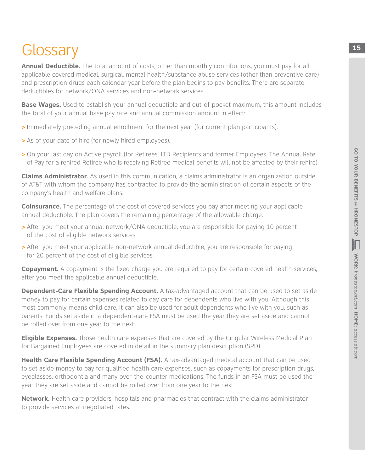# Glossary 15

**Annual Deductible.** The total amount of costs, other than monthly contributions, you must pay for all applicable covered medical, surgical, mental health/substance abuse services (other than preventive care) and prescription drugs each calendar year before the plan begins to pay benefits. There are separate deductibles for network/ONA services and non-network services.

**Base Wages.** Used to establish your annual deductible and out-of-pocket maximum, this amount includes the total of your annual base pay rate and annual commission amount in effect:

- > Immediately preceding annual enrollment for the next year (for current plan participants).
- > As of your date of hire (for newly hired employees).
- > On your last day on Active payroll (for Retirees, LTD Recipients and former Employees. The Annual Rate of Pay for a rehired Retiree who is receiving Retiree medical benefits will not be affected by their rehire).

**Claims Administrator.** As used in this communication, a claims administrator is an organization outside of AT&T with whom the company has contracted to provide the administration of certain aspects of the company's health and welfare plans.

**Coinsurance.** The percentage of the cost of covered services you pay after meeting your applicable annual deductible. The plan covers the remaining percentage of the allowable charge.

- > After you meet your annual network/ONA deductible, you are responsible for paying 10 percent of the cost of eligible network services.
- > After you meet your applicable non-network annual deductible, you are responsible for paying for 20 percent of the cost of eligible services.

**Copayment.** A copayment is the fixed charge you are required to pay for certain covered health services, after you meet the applicable annual deductible.

**Dependent-Care Flexible Spending Account.** A tax-advantaged account that can be used to set aside money to pay for certain expenses related to day care for dependents who live with you. Although this most commonly means child care, it can also be used for adult dependents who live with you, such as parents. Funds set aside in a dependent-care FSA must be used the year they are set aside and cannot be rolled over from one year to the next.

**Eligible Expenses.** Those health care expenses that are covered by the Cingular Wireless Medical Plan for Bargained Employees are covered in detail in the summary plan description (SPD).

**Health Care Flexible Spending Account (FSA).** A tax-advantaged medical account that can be used to set aside money to pay for qualified health care expenses, such as copayments for prescription drugs, eyeglasses, orthodontia and many over-the-counter medications. The funds in an FSA must be used the year they are set aside and cannot be rolled over from one year to the next.

**Network.** Health care providers, hospitals and pharmacies that contract with the claims administrator to provide services at negotiated rates.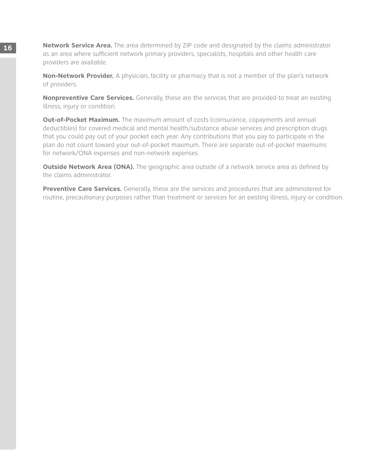**16 Network Service Area.** The area determined by ZIP code and designated by the claims administrator as an area where sufficient network primary providers, specialists, hospitals and other health care providers are available.

> **Non-Network Provider.** A physician, facility or pharmacy that is not a member of the plan's network of providers.

> **Nonpreventive Care Services.** Generally, these are the services that are provided to treat an existing illness, injury or condition.

**Out-of-Pocket Maximum.** The maximum amount of costs (coinsurance, copayments and annual deductibles) for covered medical and mental health/substance abuse services and prescription drugs that you could pay out of your pocket each year. Any contributions that you pay to participate in the plan do not count toward your out-of-pocket maximum. There are separate out-of-pocket maximums for network/ONA expenses and non-network expenses.

**Outside Network Area (ONA).** The geographic area outside of a network service area as defined by the claims administrator.

**Preventive Care Services.** Generally, these are the services and procedures that are administered for routine, precautionary purposes rather than treatment or services for an existing illness, injury or condition.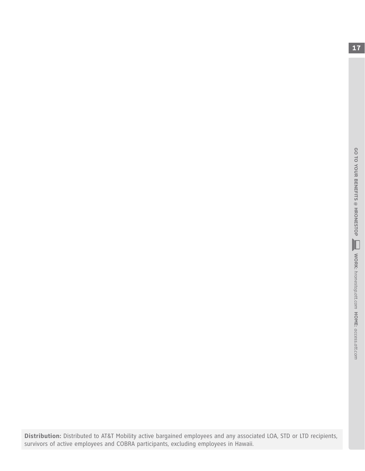**Distribution:** Distributed to AT&T Mobility active bargained employees and any associated LOA, STD or LTD recipients, survivors of active employees and COBRA participants, excluding employees in Hawaii.